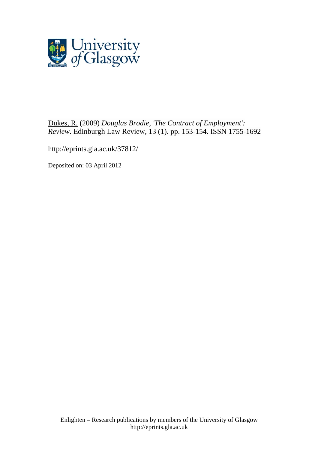

[Dukes, R.](http://eprints.gla.ac.uk/view/author/11855.html) (2009) *Douglas Brodie, 'The Contract of Employment': Review.* [Edinburgh Law Review](http://eprints.gla.ac.uk/view/journal_volume/Edinburgh_Law_Review.html), 13 (1). pp. 153-154. ISSN 1755-1692

<http://eprints.gla.ac.uk/37812/>

Deposited on: 03 April 2012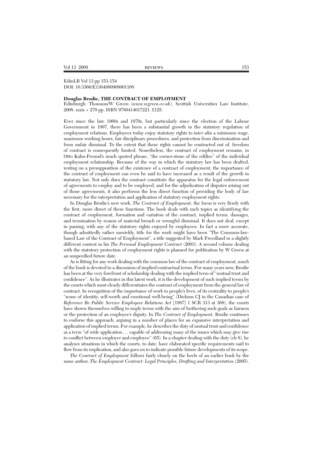## EdinLR Vol 13 pp 153-154 DOI: 10.3366/E1364980908001108

## **Douglas Brodie, THE CONTRACT OF EMPLOYMENT**

Edinburgh: Thomson/W Green (*www.wgreen.co.uk*), Scottish Universities Law Institute, 2008. xxxix + 270 pp. ISBN 9780414017221. £125.

Ever since the late 1960s and 1970s, but particularly since the election of the Labour Government in 1997, there has been a substantial growth in the statutory regulation of employment relations. Employees today enjoy statutory rights to *inter alia* a minimum wage, maximum working hours, fair disciplinary procedures, and protection from discrimination and from unfair dismissal. To the extent that these rights cannot be contracted out of, freedom of contract is consequently limited. Nonetheless, the contract of employment remains, in Otto Kahn-Freund's much quoted phrase, "the corner-stone of the edifice" of the individual employment relationship. Because of the way in which the statutory law has been drafted, resting on a presupposition of the existence of a contract of employment, the importance of the contract of employment can even be said to have increased as a result of the growth in statutory law. Not only does the contract constitute the apparatus for the legal enforcement of agreements to employ and to be employed, and for the adjudication of disputes arising out of those agreements, it also performs the less direct function of providing the body of law necessary for the interpretation and application of statutory employment rights.

In Douglas Brodie's new work, *The Contract of Employment*, the focus is very firmly with the first, more direct of these functions. The book deals with such topics as identifying the contract of employment, formation and variation of the contract, implied terms, damages, and termination by reason of material breach or wrongful dismissal. It does not deal, except in passing, with any of the statutory rights enjoyed by employees. In fact a more accurate, though admittedly rather unwieldy, title for the work might have been "The Common-lawbased Law of the Contract of Employment", a title suggested by Mark Freedland in a slightly different context in his *The Personal Employment Contract* (2003). A second volume dealing with the statutory protection of employment rights is planned for publication by W Green at an unspecified future date.

As is fitting for any work dealing with the common law of the contract of employment, much of the book is devoted to a discussion of implied contractual terms. For many years now, Brodie has been at the very forefront of scholarship dealing with the implied term of "mutual trust and confidence". As he illustrates in this latest work, it is the development of such implied terms by the courts which most clearly differentiates the contract of employment from the general law of contract. In recognition of the importance of work to people's lives, of its centrality to people's "sense of identity, self-worth and emotional well-being" (Dickson CJ in the Canadian case of *Reference Re Public Service Employeee Relations Act* [1987] 1 SCR 313 at 368), the courts have shown themselves willing to imply terms with the aim of furthering such goals as fairness or the protection of an employee's dignity. In *The Contract of Employment*, Brodie continues to endorse this approach, arguing in a number of places for an expansive interpretation and application of implied terms. For example, he describes the duty of mutual trust and confidence as a term "of wide application . . . capable of addressing many of the issues which may give rise to conflict between employer and employee" (65). In a chapter dealing with the duty (ch 8), he analyses situations in which the courts, to date, have elaborated specific requirements said to flow from its implication, and also goes on to indicate possible future developments of its scope.

*The Contract of Employment* follows fairly closely on the heels of an earlier book by the same author, *The Employment Contract: Legal Principles, Drafting and Interpretation* (2005).